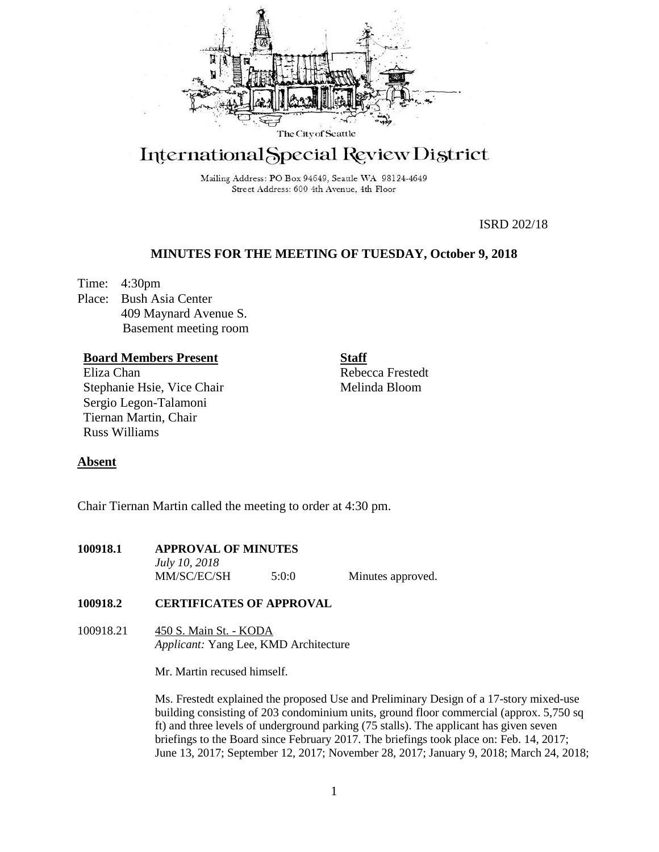

# International Special Review District

Mailing Address: PO Box 94649, Seattle WA 98124-4649 Street Address: 600 4th Avenue, 4th Floor

ISRD 202/18

## **MINUTES FOR THE MEETING OF TUESDAY, October 9, 2018**

Time: 4:30pm Place: Bush Asia Center 409 Maynard Avenue S. Basement meeting room

## **Board Members Present**

Eliza Chan Stephanie Hsie, Vice Chair Sergio Legon-Talamoni Tiernan Martin, Chair Russ Williams

**Staff** Rebecca Frestedt Melinda Bloom

## **Absent**

Chair Tiernan Martin called the meeting to order at 4:30 pm.

| 100918.1 | <b>APPROVAL OF MINUTES</b> |       |                   |
|----------|----------------------------|-------|-------------------|
|          | <i>July 10, 2018</i>       |       |                   |
|          | MM/SC/EC/SH                | 5:0:0 | Minutes approved. |

## **100918.2 CERTIFICATES OF APPROVAL**

100918.21 450 S. Main St. - KODA *Applicant:* Yang Lee, KMD Architecture

Mr. Martin recused himself.

Ms. Frestedt explained the proposed Use and Preliminary Design of a 17-story mixed-use building consisting of 203 condominium units, ground floor commercial (approx. 5,750 sq ft) and three levels of underground parking (75 stalls). The applicant has given seven briefings to the Board since February 2017. The briefings took place on: Feb. 14, 2017; June 13, 2017; September 12, 2017; November 28, 2017; January 9, 2018; March 24, 2018;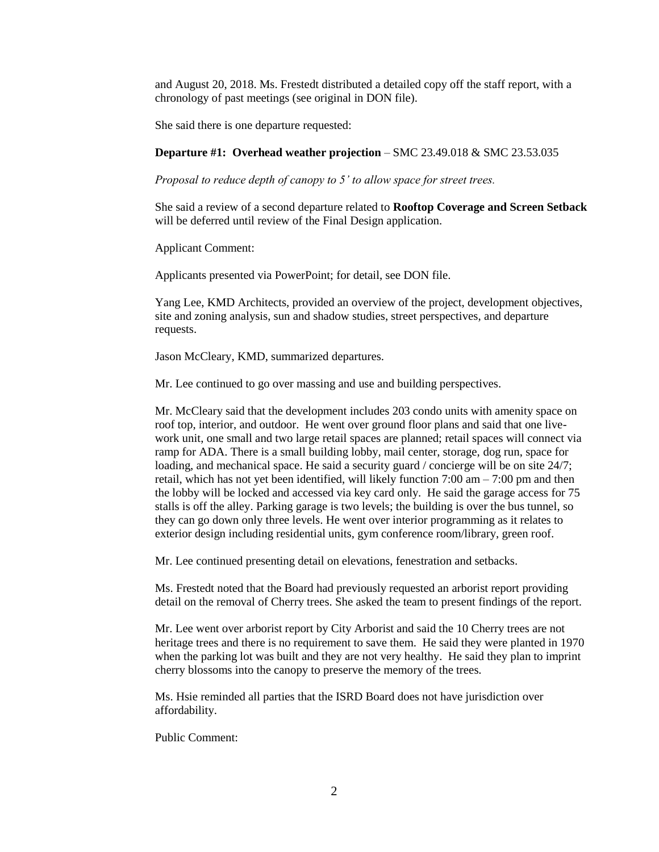and August 20, 2018. Ms. Frestedt distributed a detailed copy off the staff report, with a chronology of past meetings (see original in DON file).

She said there is one departure requested:

#### **Departure #1: Overhead weather projection** – SMC 23.49.018 & SMC 23.53.035

*Proposal to reduce depth of canopy to 5' to allow space for street trees.*

She said a review of a second departure related to **Rooftop Coverage and Screen Setback** will be deferred until review of the Final Design application.

Applicant Comment:

Applicants presented via PowerPoint; for detail, see DON file.

Yang Lee, KMD Architects, provided an overview of the project, development objectives, site and zoning analysis, sun and shadow studies, street perspectives, and departure requests.

Jason McCleary, KMD, summarized departures.

Mr. Lee continued to go over massing and use and building perspectives.

Mr. McCleary said that the development includes 203 condo units with amenity space on roof top, interior, and outdoor. He went over ground floor plans and said that one livework unit, one small and two large retail spaces are planned; retail spaces will connect via ramp for ADA. There is a small building lobby, mail center, storage, dog run, space for loading, and mechanical space. He said a security guard / concierge will be on site 24/7; retail, which has not yet been identified, will likely function  $7:00 \text{ am} - 7:00 \text{ pm}$  and then the lobby will be locked and accessed via key card only. He said the garage access for 75 stalls is off the alley. Parking garage is two levels; the building is over the bus tunnel, so they can go down only three levels. He went over interior programming as it relates to exterior design including residential units, gym conference room/library, green roof.

Mr. Lee continued presenting detail on elevations, fenestration and setbacks.

Ms. Frestedt noted that the Board had previously requested an arborist report providing detail on the removal of Cherry trees. She asked the team to present findings of the report.

Mr. Lee went over arborist report by City Arborist and said the 10 Cherry trees are not heritage trees and there is no requirement to save them. He said they were planted in 1970 when the parking lot was built and they are not very healthy. He said they plan to imprint cherry blossoms into the canopy to preserve the memory of the trees.

Ms. Hsie reminded all parties that the ISRD Board does not have jurisdiction over affordability.

Public Comment: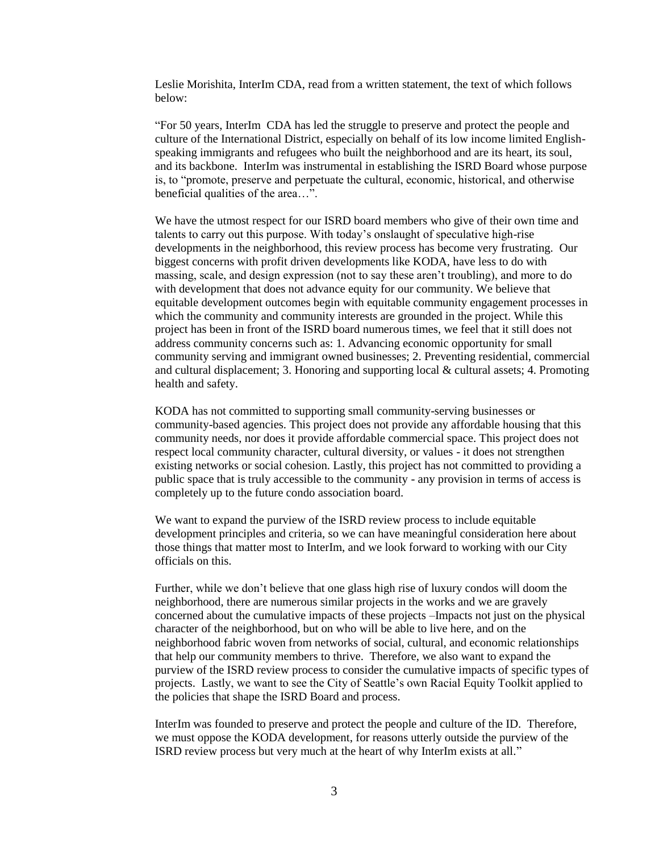Leslie Morishita, InterIm CDA, read from a written statement, the text of which follows below:

"For 50 years, InterIm CDA has led the struggle to preserve and protect the people and culture of the International District, especially on behalf of its low income limited Englishspeaking immigrants and refugees who built the neighborhood and are its heart, its soul, and its backbone. InterIm was instrumental in establishing the ISRD Board whose purpose is, to "promote, preserve and perpetuate the cultural, economic, historical, and otherwise beneficial qualities of the area…".

We have the utmost respect for our ISRD board members who give of their own time and talents to carry out this purpose. With today's onslaught of speculative high-rise developments in the neighborhood, this review process has become very frustrating. Our biggest concerns with profit driven developments like KODA, have less to do with massing, scale, and design expression (not to say these aren't troubling), and more to do with development that does not advance equity for our community. We believe that equitable development outcomes begin with equitable community engagement processes in which the community and community interests are grounded in the project. While this project has been in front of the ISRD board numerous times, we feel that it still does not address community concerns such as: 1. Advancing economic opportunity for small community serving and immigrant owned businesses; 2. Preventing residential, commercial and cultural displacement; 3. Honoring and supporting local & cultural assets; 4. Promoting health and safety.

KODA has not committed to supporting small community-serving businesses or community-based agencies. This project does not provide any affordable housing that this community needs, nor does it provide affordable commercial space. This project does not respect local community character, cultural diversity, or values - it does not strengthen existing networks or social cohesion. Lastly, this project has not committed to providing a public space that is truly accessible to the community - any provision in terms of access is completely up to the future condo association board.

We want to expand the purview of the ISRD review process to include equitable development principles and criteria, so we can have meaningful consideration here about those things that matter most to InterIm, and we look forward to working with our City officials on this.

Further, while we don't believe that one glass high rise of luxury condos will doom the neighborhood, there are numerous similar projects in the works and we are gravely concerned about the cumulative impacts of these projects –Impacts not just on the physical character of the neighborhood, but on who will be able to live here, and on the neighborhood fabric woven from networks of social, cultural, and economic relationships that help our community members to thrive. Therefore, we also want to expand the purview of the ISRD review process to consider the cumulative impacts of specific types of projects. Lastly, we want to see the City of Seattle's own Racial Equity Toolkit applied to the policies that shape the ISRD Board and process.

InterIm was founded to preserve and protect the people and culture of the ID. Therefore, we must oppose the KODA development, for reasons utterly outside the purview of the ISRD review process but very much at the heart of why InterIm exists at all."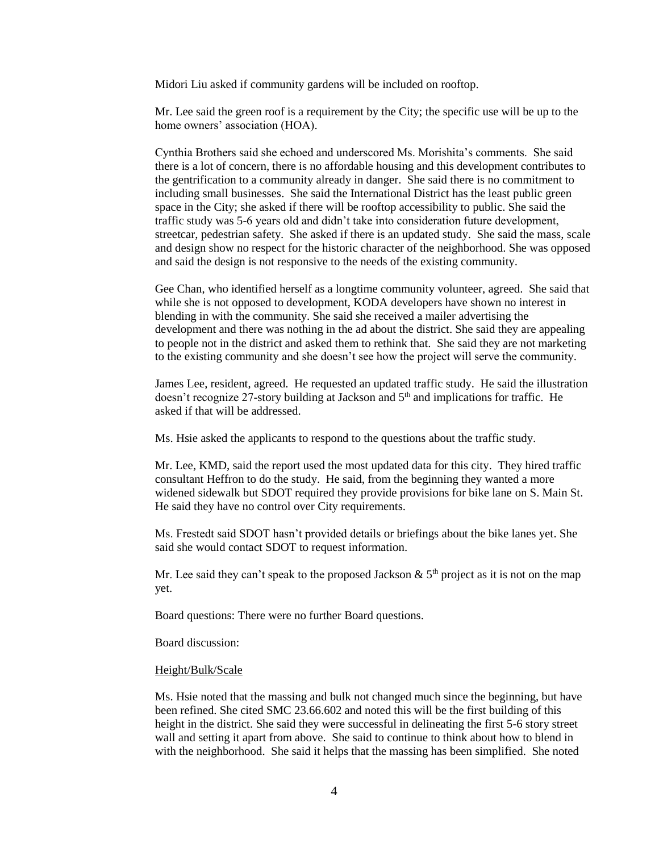Midori Liu asked if community gardens will be included on rooftop.

Mr. Lee said the green roof is a requirement by the City; the specific use will be up to the home owners' association (HOA).

Cynthia Brothers said she echoed and underscored Ms. Morishita's comments. She said there is a lot of concern, there is no affordable housing and this development contributes to the gentrification to a community already in danger. She said there is no commitment to including small businesses. She said the International District has the least public green space in the City; she asked if there will be rooftop accessibility to public. She said the traffic study was 5-6 years old and didn't take into consideration future development, streetcar, pedestrian safety. She asked if there is an updated study. She said the mass, scale and design show no respect for the historic character of the neighborhood. She was opposed and said the design is not responsive to the needs of the existing community.

Gee Chan, who identified herself as a longtime community volunteer, agreed. She said that while she is not opposed to development, KODA developers have shown no interest in blending in with the community. She said she received a mailer advertising the development and there was nothing in the ad about the district. She said they are appealing to people not in the district and asked them to rethink that. She said they are not marketing to the existing community and she doesn't see how the project will serve the community.

James Lee, resident, agreed. He requested an updated traffic study. He said the illustration doesn't recognize 27-story building at Jackson and 5<sup>th</sup> and implications for traffic. He asked if that will be addressed.

Ms. Hsie asked the applicants to respond to the questions about the traffic study.

Mr. Lee, KMD, said the report used the most updated data for this city. They hired traffic consultant Heffron to do the study. He said, from the beginning they wanted a more widened sidewalk but SDOT required they provide provisions for bike lane on S. Main St. He said they have no control over City requirements.

Ms. Frestedt said SDOT hasn't provided details or briefings about the bike lanes yet. She said she would contact SDOT to request information.

Mr. Lee said they can't speak to the proposed Jackson  $\&$  5<sup>th</sup> project as it is not on the map yet.

Board questions: There were no further Board questions.

Board discussion:

#### Height/Bulk/Scale

Ms. Hsie noted that the massing and bulk not changed much since the beginning, but have been refined. She cited SMC 23.66.602 and noted this will be the first building of this height in the district. She said they were successful in delineating the first 5-6 story street wall and setting it apart from above. She said to continue to think about how to blend in with the neighborhood. She said it helps that the massing has been simplified. She noted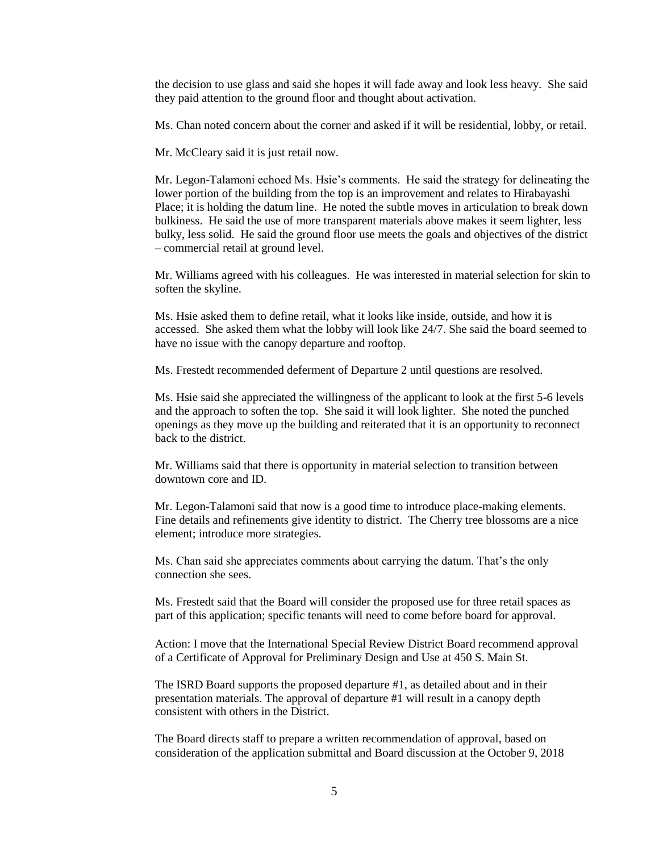the decision to use glass and said she hopes it will fade away and look less heavy. She said they paid attention to the ground floor and thought about activation.

Ms. Chan noted concern about the corner and asked if it will be residential, lobby, or retail.

Mr. McCleary said it is just retail now.

Mr. Legon-Talamoni echoed Ms. Hsie's comments. He said the strategy for delineating the lower portion of the building from the top is an improvement and relates to Hirabayashi Place; it is holding the datum line. He noted the subtle moves in articulation to break down bulkiness. He said the use of more transparent materials above makes it seem lighter, less bulky, less solid. He said the ground floor use meets the goals and objectives of the district – commercial retail at ground level.

Mr. Williams agreed with his colleagues. He was interested in material selection for skin to soften the skyline.

Ms. Hsie asked them to define retail, what it looks like inside, outside, and how it is accessed. She asked them what the lobby will look like 24/7. She said the board seemed to have no issue with the canopy departure and rooftop.

Ms. Frestedt recommended deferment of Departure 2 until questions are resolved.

Ms. Hsie said she appreciated the willingness of the applicant to look at the first 5-6 levels and the approach to soften the top. She said it will look lighter. She noted the punched openings as they move up the building and reiterated that it is an opportunity to reconnect back to the district.

Mr. Williams said that there is opportunity in material selection to transition between downtown core and ID.

Mr. Legon-Talamoni said that now is a good time to introduce place-making elements. Fine details and refinements give identity to district. The Cherry tree blossoms are a nice element; introduce more strategies.

Ms. Chan said she appreciates comments about carrying the datum. That's the only connection she sees.

Ms. Frestedt said that the Board will consider the proposed use for three retail spaces as part of this application; specific tenants will need to come before board for approval.

Action: I move that the International Special Review District Board recommend approval of a Certificate of Approval for Preliminary Design and Use at 450 S. Main St.

The ISRD Board supports the proposed departure #1, as detailed about and in their presentation materials. The approval of departure #1 will result in a canopy depth consistent with others in the District.

The Board directs staff to prepare a written recommendation of approval, based on consideration of the application submittal and Board discussion at the October 9, 2018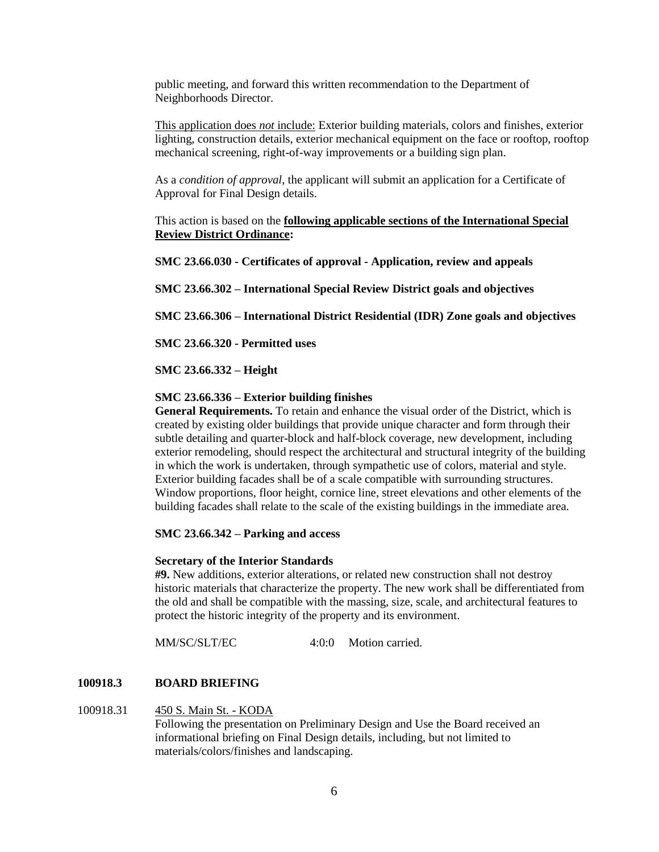public meeting, and forward this written recommendation to the Department of Neighborhoods Director.

This application does *not* include: Exterior building materials, colors and finishes, exterior lighting, construction details, exterior mechanical equipment on the face or rooftop, rooftop mechanical screening, right-of-way improvements or a building sign plan.

As a *condition of approval*, the applicant will submit an application for a Certificate of Approval for Final Design details.

This action is based on the **following applicable sections of the International Special Review District Ordinance:** 

**SMC 23.66.030 - Certificates of approval - Application, review and appeals**

**SMC 23.66.302 – International Special Review District goals and objectives**

**SMC 23.66.306 – International District Residential (IDR) Zone goals and objectives**

**SMC 23.66.320 - Permitted uses**

**SMC 23.66.332 – Height**

### **SMC 23.66.336 – Exterior building finishes**

**General Requirements.** To retain and enhance the visual order of the District, which is created by existing older buildings that provide unique character and form through their subtle detailing and quarter-block and half-block coverage, new development, including exterior remodeling, should respect the architectural and structural integrity of the building in which the work is undertaken, through sympathetic use of colors, material and style. Exterior building facades shall be of a scale compatible with surrounding structures. Window proportions, floor height, cornice line, street elevations and other elements of the building facades shall relate to the scale of the existing buildings in the immediate area.

#### **SMC 23.66.342 – Parking and access**

#### **Secretary of the Interior Standards**

**#9.** New additions, exterior alterations, or related new construction shall not destroy historic materials that characterize the property. The new work shall be differentiated from the old and shall be compatible with the massing, size, scale, and architectural features to protect the historic integrity of the property and its environment.

MM/SC/SLT/EC 4:0:0 Motion carried.

## **100918.3 BOARD BRIEFING**

#### 100918.31 450 S. Main St. - KODA

Following the presentation on Preliminary Design and Use the Board received an informational briefing on Final Design details, including, but not limited to materials/colors/finishes and landscaping.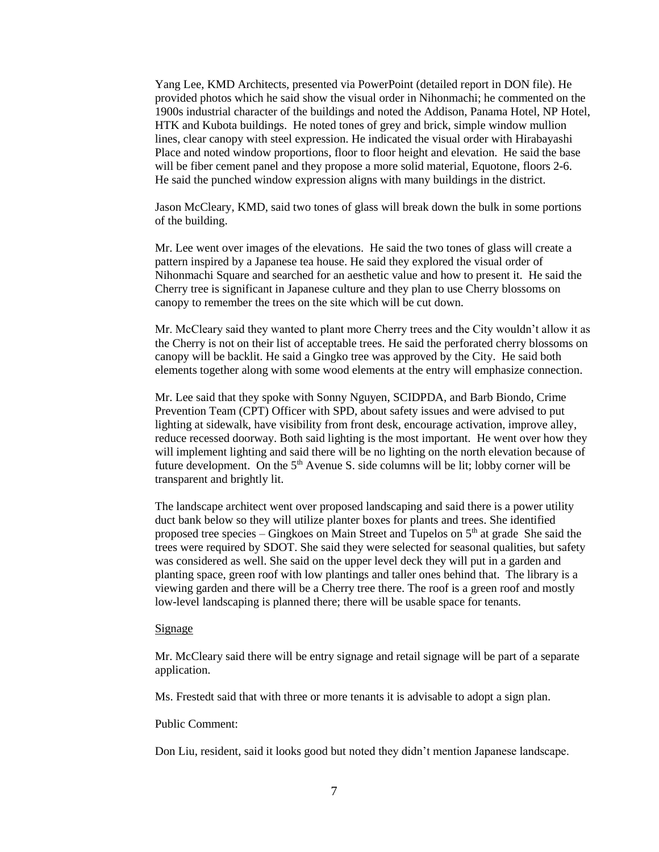Yang Lee, KMD Architects, presented via PowerPoint (detailed report in DON file). He provided photos which he said show the visual order in Nihonmachi; he commented on the 1900s industrial character of the buildings and noted the Addison, Panama Hotel, NP Hotel, HTK and Kubota buildings. He noted tones of grey and brick, simple window mullion lines, clear canopy with steel expression. He indicated the visual order with Hirabayashi Place and noted window proportions, floor to floor height and elevation. He said the base will be fiber cement panel and they propose a more solid material, Equotone, floors 2-6. He said the punched window expression aligns with many buildings in the district.

Jason McCleary, KMD, said two tones of glass will break down the bulk in some portions of the building.

Mr. Lee went over images of the elevations. He said the two tones of glass will create a pattern inspired by a Japanese tea house. He said they explored the visual order of Nihonmachi Square and searched for an aesthetic value and how to present it. He said the Cherry tree is significant in Japanese culture and they plan to use Cherry blossoms on canopy to remember the trees on the site which will be cut down.

Mr. McCleary said they wanted to plant more Cherry trees and the City wouldn't allow it as the Cherry is not on their list of acceptable trees. He said the perforated cherry blossoms on canopy will be backlit. He said a Gingko tree was approved by the City. He said both elements together along with some wood elements at the entry will emphasize connection.

Mr. Lee said that they spoke with Sonny Nguyen, SCIDPDA, and Barb Biondo, Crime Prevention Team (CPT) Officer with SPD, about safety issues and were advised to put lighting at sidewalk, have visibility from front desk, encourage activation, improve alley, reduce recessed doorway. Both said lighting is the most important. He went over how they will implement lighting and said there will be no lighting on the north elevation because of future development. On the  $5<sup>th</sup>$  Avenue S. side columns will be lit; lobby corner will be transparent and brightly lit.

The landscape architect went over proposed landscaping and said there is a power utility duct bank below so they will utilize planter boxes for plants and trees. She identified proposed tree species – Gingkoes on Main Street and Tupelos on  $5<sup>th</sup>$  at grade She said the trees were required by SDOT. She said they were selected for seasonal qualities, but safety was considered as well. She said on the upper level deck they will put in a garden and planting space, green roof with low plantings and taller ones behind that. The library is a viewing garden and there will be a Cherry tree there. The roof is a green roof and mostly low-level landscaping is planned there; there will be usable space for tenants.

#### Signage

Mr. McCleary said there will be entry signage and retail signage will be part of a separate application.

Ms. Frestedt said that with three or more tenants it is advisable to adopt a sign plan.

#### Public Comment:

Don Liu, resident, said it looks good but noted they didn't mention Japanese landscape.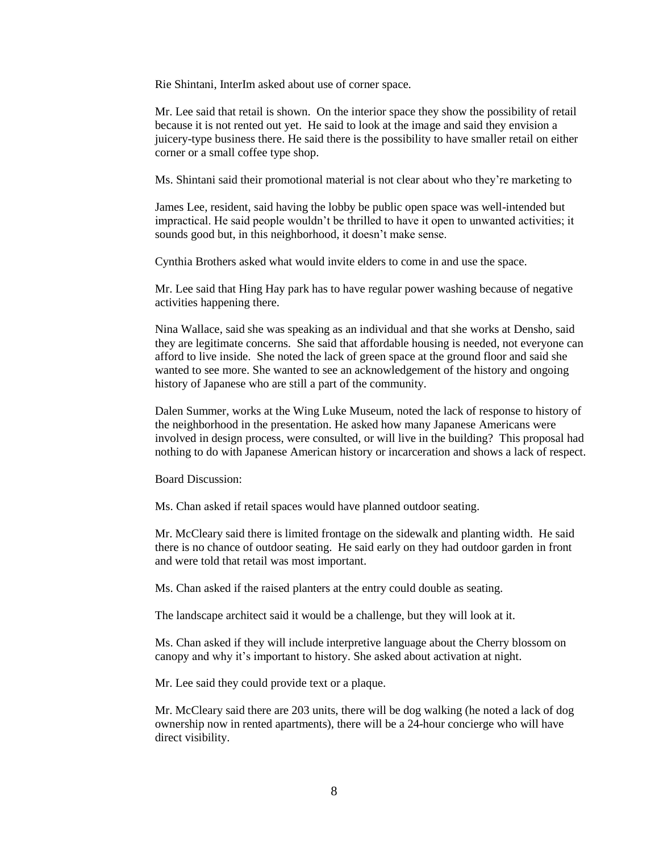Rie Shintani, InterIm asked about use of corner space.

Mr. Lee said that retail is shown. On the interior space they show the possibility of retail because it is not rented out yet. He said to look at the image and said they envision a juicery-type business there. He said there is the possibility to have smaller retail on either corner or a small coffee type shop.

Ms. Shintani said their promotional material is not clear about who they're marketing to

James Lee, resident, said having the lobby be public open space was well-intended but impractical. He said people wouldn't be thrilled to have it open to unwanted activities; it sounds good but, in this neighborhood, it doesn't make sense.

Cynthia Brothers asked what would invite elders to come in and use the space.

Mr. Lee said that Hing Hay park has to have regular power washing because of negative activities happening there.

Nina Wallace, said she was speaking as an individual and that she works at Densho, said they are legitimate concerns. She said that affordable housing is needed, not everyone can afford to live inside. She noted the lack of green space at the ground floor and said she wanted to see more. She wanted to see an acknowledgement of the history and ongoing history of Japanese who are still a part of the community.

Dalen Summer, works at the Wing Luke Museum, noted the lack of response to history of the neighborhood in the presentation. He asked how many Japanese Americans were involved in design process, were consulted, or will live in the building? This proposal had nothing to do with Japanese American history or incarceration and shows a lack of respect.

Board Discussion:

Ms. Chan asked if retail spaces would have planned outdoor seating.

Mr. McCleary said there is limited frontage on the sidewalk and planting width. He said there is no chance of outdoor seating. He said early on they had outdoor garden in front and were told that retail was most important.

Ms. Chan asked if the raised planters at the entry could double as seating.

The landscape architect said it would be a challenge, but they will look at it.

Ms. Chan asked if they will include interpretive language about the Cherry blossom on canopy and why it's important to history. She asked about activation at night.

Mr. Lee said they could provide text or a plaque.

Mr. McCleary said there are 203 units, there will be dog walking (he noted a lack of dog ownership now in rented apartments), there will be a 24-hour concierge who will have direct visibility.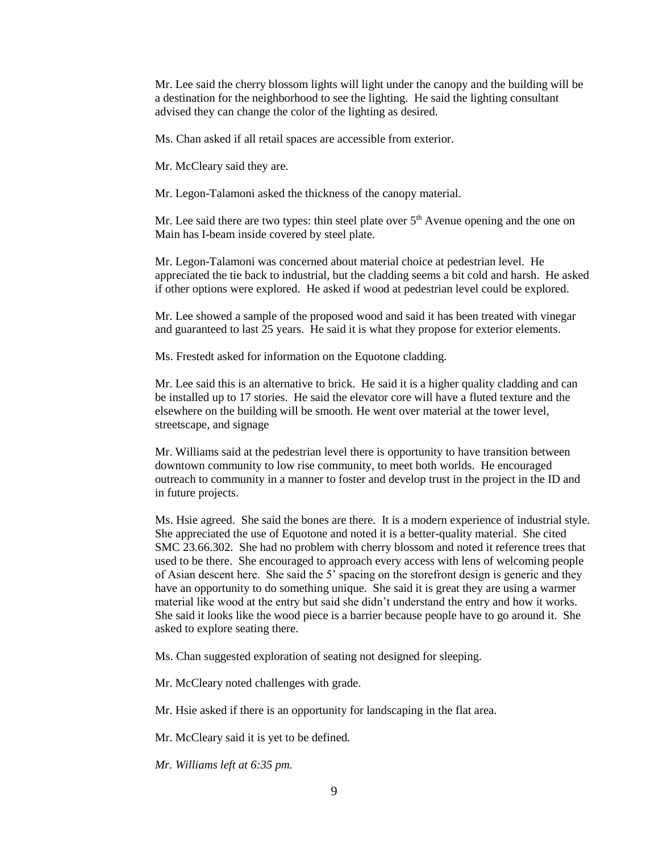Mr. Lee said the cherry blossom lights will light under the canopy and the building will be a destination for the neighborhood to see the lighting. He said the lighting consultant advised they can change the color of the lighting as desired.

Ms. Chan asked if all retail spaces are accessible from exterior.

Mr. McCleary said they are.

Mr. Legon-Talamoni asked the thickness of the canopy material.

Mr. Lee said there are two types: thin steel plate over  $5<sup>th</sup>$  Avenue opening and the one on Main has I-beam inside covered by steel plate.

Mr. Legon-Talamoni was concerned about material choice at pedestrian level. He appreciated the tie back to industrial, but the cladding seems a bit cold and harsh. He asked if other options were explored. He asked if wood at pedestrian level could be explored.

Mr. Lee showed a sample of the proposed wood and said it has been treated with vinegar and guaranteed to last 25 years. He said it is what they propose for exterior elements.

Ms. Frestedt asked for information on the Equotone cladding.

Mr. Lee said this is an alternative to brick. He said it is a higher quality cladding and can be installed up to 17 stories. He said the elevator core will have a fluted texture and the elsewhere on the building will be smooth. He went over material at the tower level, streetscape, and signage

Mr. Williams said at the pedestrian level there is opportunity to have transition between downtown community to low rise community, to meet both worlds. He encouraged outreach to community in a manner to foster and develop trust in the project in the ID and in future projects.

Ms. Hsie agreed. She said the bones are there. It is a modern experience of industrial style. She appreciated the use of Equotone and noted it is a better-quality material. She cited SMC 23.66.302. She had no problem with cherry blossom and noted it reference trees that used to be there. She encouraged to approach every access with lens of welcoming people of Asian descent here. She said the 5' spacing on the storefront design is generic and they have an opportunity to do something unique. She said it is great they are using a warmer material like wood at the entry but said she didn't understand the entry and how it works. She said it looks like the wood piece is a barrier because people have to go around it. She asked to explore seating there.

Ms. Chan suggested exploration of seating not designed for sleeping.

Mr. McCleary noted challenges with grade.

Mr. Hsie asked if there is an opportunity for landscaping in the flat area.

Mr. McCleary said it is yet to be defined.

*Mr. Williams left at 6:35 pm.*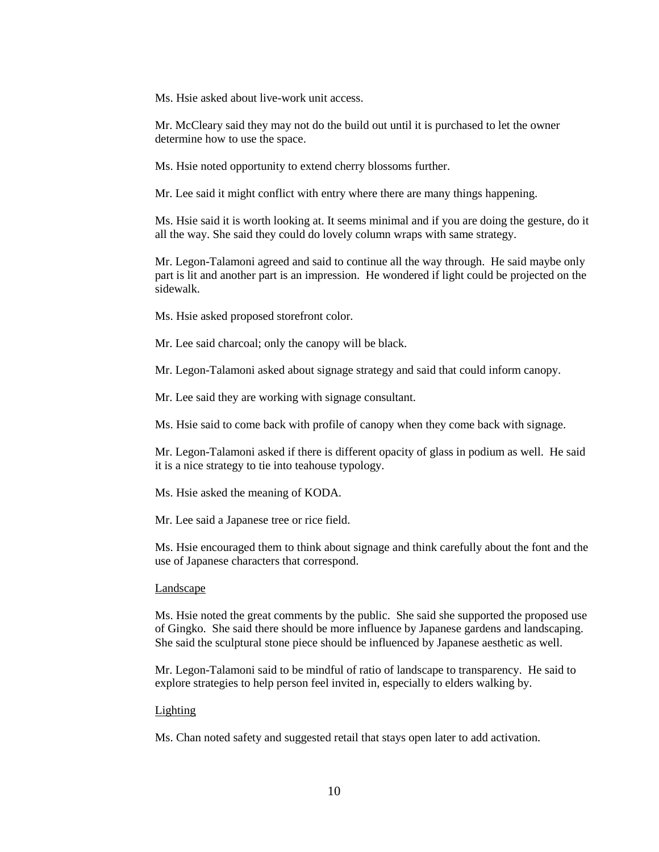Ms. Hsie asked about live-work unit access.

Mr. McCleary said they may not do the build out until it is purchased to let the owner determine how to use the space.

Ms. Hsie noted opportunity to extend cherry blossoms further.

Mr. Lee said it might conflict with entry where there are many things happening.

Ms. Hsie said it is worth looking at. It seems minimal and if you are doing the gesture, do it all the way. She said they could do lovely column wraps with same strategy.

Mr. Legon-Talamoni agreed and said to continue all the way through. He said maybe only part is lit and another part is an impression. He wondered if light could be projected on the sidewalk.

Ms. Hsie asked proposed storefront color.

Mr. Lee said charcoal; only the canopy will be black.

Mr. Legon-Talamoni asked about signage strategy and said that could inform canopy.

Mr. Lee said they are working with signage consultant.

Ms. Hsie said to come back with profile of canopy when they come back with signage.

Mr. Legon-Talamoni asked if there is different opacity of glass in podium as well. He said it is a nice strategy to tie into teahouse typology.

Ms. Hsie asked the meaning of KODA.

Mr. Lee said a Japanese tree or rice field.

Ms. Hsie encouraged them to think about signage and think carefully about the font and the use of Japanese characters that correspond.

#### Landscape

Ms. Hsie noted the great comments by the public. She said she supported the proposed use of Gingko. She said there should be more influence by Japanese gardens and landscaping. She said the sculptural stone piece should be influenced by Japanese aesthetic as well.

Mr. Legon-Talamoni said to be mindful of ratio of landscape to transparency. He said to explore strategies to help person feel invited in, especially to elders walking by.

#### Lighting

Ms. Chan noted safety and suggested retail that stays open later to add activation.